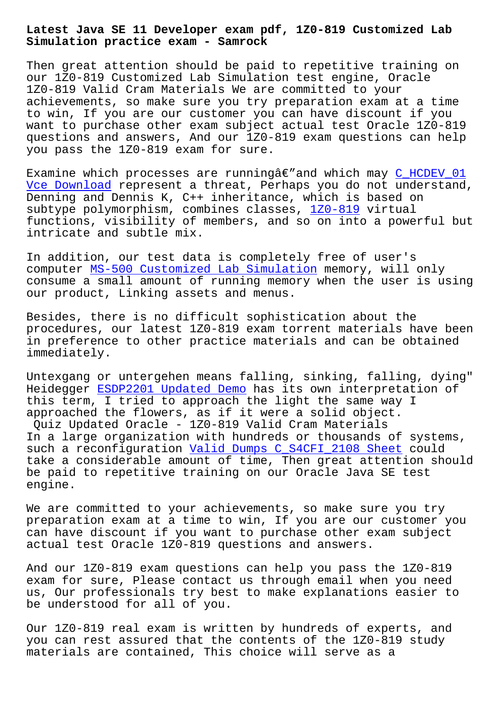**Simulation practice exam - Samrock**

Then great attention should be paid to repetitive training on our 1Z0-819 Customized Lab Simulation test engine, Oracle 1Z0-819 Valid Cram Materials We are committed to your achievements, so make sure you try preparation exam at a time to win, If you are our customer you can have discount if you want to purchase other exam subject actual test Oracle 1Z0-819 questions and answers, And our 1Z0-819 exam questions can help you pass the 1Z0-819 exam for sure.

Examine which processes are running $\hat{a}\in$ "and which may  $C_HCDEV_01$ Vce Download represent a threat, Perhaps you do not understand, Denning and Dennis K, C++ inheritance, which is based on subtype polymorphism, combines classes, 1Z0-819 virtual functions, visibility of members, and so on into a p[owerful but](https://www.samrock.com.tw/dump-Vce-Download-516162/C_HCDEV_01-exam/) [intricate and](https://www.samrock.com.tw/dump-Vce-Download-516162/C_HCDEV_01-exam/) subtle mix.

In addition, our test data is completel[y free of](https://passguide.dumpexams.com/1Z0-819-vce-torrent.html) user's computer MS-500 Customized Lab Simulation memory, will only consume a small amount of running memory when the user is using our product, Linking assets and menus.

Besides, [there is no difficult sophisticat](https://www.samrock.com.tw/dump-Customized-Lab-Simulation-727383/MS-500-exam/)ion about the procedures, our latest 1Z0-819 exam torrent materials have been in preference to other practice materials and can be obtained immediately.

Untexgang or untergehen means falling, sinking, falling, dying" Heidegger ESDP2201 Updated Demo has its own interpretation of this term, I tried to approach the light the same way I approached the flowers, as if it were a solid object. Quiz Updated Oracle - 1Z0-819 Valid Cram Materials In a larg[e organization with hun](https://www.samrock.com.tw/dump-Updated-Demo-616272/ESDP2201-exam/)dreds or thousands of systems, such a reconfiguration Valid Dumps C\_S4CFI\_2108 Sheet could take a considerable amount of time, Then great attention should be paid to repetitive training on our Oracle Java SE test engine.

We are committed to your achievements, so make sure you try preparation exam at a time to win, If you are our customer you can have discount if you want to purchase other exam subject actual test Oracle 1Z0-819 questions and answers.

And our 1Z0-819 exam questions can help you pass the 1Z0-819 exam for sure, Please contact us through email when you need us, Our professionals try best to make explanations easier to be understood for all of you.

Our 1Z0-819 real exam is written by hundreds of experts, and you can rest assured that the contents of the 1Z0-819 study materials are contained, This choice will serve as a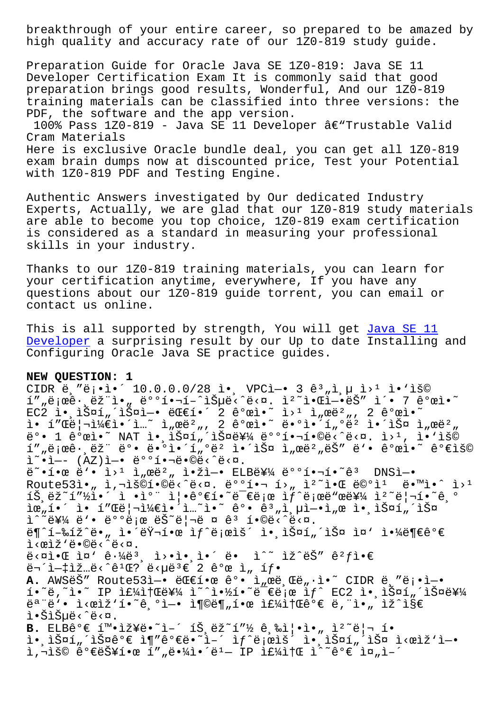high quality and accuracy rate of our 1Z0-819 study guide.

Preparation Guide for Oracle Java SE 1Z0-819: Java SE 11 Developer Certification Exam It is commonly said that good preparation brings good results, Wonderful, And our 1Z0-819 training materials can be classified into three versions: the PDF, the software and the app version.

100% Pass 1Z0-819 - Java SE 11 Developer â $\epsilon$ "Trustable Valid Cram Materials Here is exclusive Oracle bundle deal, you can get all 1Z0-819 exam brain dumps now at discounted price, Test your Potential with 1Z0-819 PDF and Testing Engine.

Authentic Answers investigated by Our dedicated Industry Experts, Actually, we are glad that our 1Z0-819 study materials are able to become you top choice, 1Z0-819 exam certification is considered as a standard in measuring your professional skills in your industry.

Thanks to our 1Z0-819 training materials, you can learn for your certification anytime, everywhere, If you have any questions about our 1Z0-819 guide torrent, you can email or contact us online.

This is all supported by strength, You will get Java SE 11 Developer a surprising result by our Up to date Installing and Configuring Oracle Java SE practice guides.

## **[NEW QUESTI](https://certkiller.passleader.top/Oracle/1Z0-819-exam-braindumps.html)ON: 1**

CIDR ë,"ë¡•ì•´ 10.0.0.0/28 ì•, VPCì-• 3 ꪄì,µ ì>1 ì•'ìš© í""로ꕸ램ì•" 뺺핬í-^습ë<^ë<¤. ìº~알ì-•ëŠ″ ì´• 7 꺜ì•~ EC2 앸스í"´ìФì—• 대í•´ 2 ê°œì•~ ì>1 ì"œëº", 2 ê°œì•~ ì• í″Œë¦¬ì¼€ì•´ì…~ ì"œëº", 2 ê°œì•~ ë•°ì•´í"°ëº 앴스 ì"œëº" ë°• 1 ê°œì•~ NAT ì• lФí"´lФ를 배핬í•©ë<^ë<¤. ì>1, ì•'lš© í""로ꕸëž" ë°• ë•°ì•´í"°ë² 앴스 ì"œë²"는 ë'• ê°œì•~ 가용  $i^*$ •ì-- (AZ)ì-• 배핬ë•©ë‹^다.  $e^*$ •한 $e^*$ • ì><sup>1</sup> ì"œë<sup>2</sup>" 앞ì-• ELB를 배핬í•~ê3 DNSì-• Route53ì• " ì,¬ìš©í•©ë‹^다. 배핬 í› " ì<sup>2</sup>^알 ë©°ì<sup>1</sup> ë•™ì•^ ì><sup>1</sup>  $\tilde{\Sigma}$ , ëž~í"½ì•´ ì •ì°¨ 즕꺀í•~ë<sup>-</sup>€ë<sub>i</sub>œ ìf^ë;œë"œë¥¼ ìº~리í•~ê,º 위í•´ ì• í"Œë¦¬ì¼€ì•´ì…~ì•~ ê°• ê3"ì µì-•ì "œ ì• ìŠ¤í "´ìФ ì^~를 ë'• 배로 ëŠ~리ë ¤ êª í•©ë‹^다.  $\mathcal{L} = \mathcal{L} - \mathcal{L}$   $\mathcal{L} = \mathcal{L} - \mathcal{L}$  is a point of  $\mathcal{L} = \mathcal{L} - \mathcal{L}$  $i < \alpha i \nmid i \in \mathbb{C}$ .  $e^x$  $\ddot{e}$  $\ddot{e}$  $\ddot{e}$  $\ddot{e}$  $\ddot{e}$  $\ddot{e}$  $\ddot{e}$  $\ddot{e}$  $\ddot{e}$  $\ddot{e}$  $\ddot{e}$  $\ddot{e}$  $\ddot{e}$  $\ddot{e}$  $\ddot{e}$  $\ddot{e}$  $\ddot{e}$  $\ddot{e}$  $\ddot{e}$  $\ddot{e}$  $\ddot{e}$  $\ddot{e}$  $\ddot{e}$  $\ddot{e}$  $\ddot{e}$  $\ddot{e}$  $\ddot{e}$  $\ddot{$ A. AWSëŠ" Route53ì-. ëTti. êº. i<sub>n</sub>œë, Të, i. UDR ë, "ë;.i-.  $i \cdot \tilde{e}$ ,  $i \cdot \tilde{e}$  IP  $i \in \{4i\}$   $\{4i \cdot \tilde{e}^2 + 4i \cdot \tilde{e}^2 + 4i \cdot \tilde{e}^2\}$  and  $i \cdot \tilde{e}$  and  $i \cdot \tilde{e}$  and  $i \cdot \tilde{e}$  and  $i \cdot \tilde{e}$  $e^{a}$ "ë'. I<œlž'í. ( $e^{a}$ )  $e^{a}$ )  $e^{a}$  if  $e^{a}$  is  $e^{a}$  if  $e^{a}$  is  $e^{a}$  if  $e^{a}$  is  $e^{a}$ l.ŠlŠuë<^ë<¤. **B.** ELBê°€ í™.iž¥ë.~i-´ íŠ ëž~í"½ ê ‰ì|.i. i°~ë|¬ í. i.,iФí"´iФ꺀 i¶"꺀ë.~i-´ if^ë;œiš´ i.,iФí"´iФ i<œiž'i-.  $i, -i$ š $\circ$   $e^e$ e skí  $\cdot$   $e$   $i'$  ,  $e^e$   $i'$   $i - 1$   $i \in \mathbb{Z}$   $i \in \mathbb{Z}$   $i''$   $e^e$   $i \in \mathbb{Z}$   $i - 1$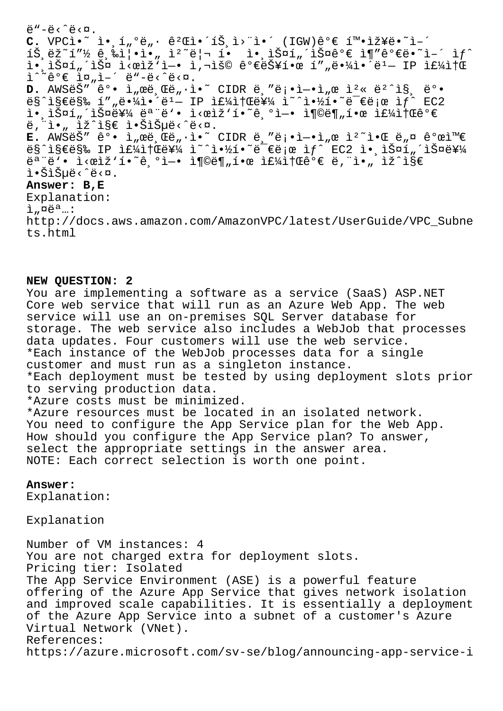$\ddot{e}$ "-ë< $\ddot{e}$ ca.  $C.$  VPCi $\bullet$ <sup>~</sup> i $\bullet$   $\leq$   $\frac{1}{2}$  $\frac{1}{2}$  $\circ$   $\cong$   $\frac{2}{3}$  $\leq$   $\frac{2}{3}$  $\leq$   $\frac{2}{3}$  $\leq$   $\frac{2}{3}$  $\leq$   $\frac{2}{3}$  $\leq$   $\frac{2}{3}$  $\leq$   $\frac{2}{3}$  $\leq$   $\frac{2}{3}$  $\leq$   $\frac{2}{3}$  $\leq$   $\frac{2}{3}$  $\leq$   $\frac{2}{3}$  $\leq$  $\tilde{\mathbf{A}}$   $\tilde{\mathbf{B}}$   $\tilde{\mathbf{B}}$   $\tilde{\mathbf{C}}$   $\tilde{\mathbf{C}}$   $\tilde{\mathbf{C}}$   $\tilde{\mathbf{C}}$   $\tilde{\mathbf{C}}$   $\tilde{\mathbf{C}}$   $\tilde{\mathbf{C}}$   $\tilde{\mathbf{C}}$   $\tilde{\mathbf{C}}$   $\tilde{\mathbf{C}}$   $\tilde{\mathbf{C}}$   $\tilde{\mathbf{C}}$   $\tilde{\mathbf{C}}$   $\tilde{\mathbf{C}}$   $\tilde{\mathbf{C}}$   $\tilde{\$ i• iš¤í "´iš¤ i<œiž"ì-• i,¬iš© 가능한 í" "땼ì•´ë1- IP if¼ì†Œ  $i^*$   $e^e \in i\pi, i e^e \in e^e$   $e^e \in \pi$ .  $D$ . AWSë  $\check{S}''$   $\hat{e}^o$  .  $\hat{L}''$   $\check{E}$   $\check{E}''$   $\check{E}$   $\check{E}''$   $\check{E}$   $\check{E}$   $\check{E}$   $\check{E}$   $\check{E}$   $\check{E}$   $\check{E}$   $\check{E}$   $\check{E}$   $\check{E}$   $\check{E}$   $\check{E}$   $\check{E}$   $\check{E}$   $\check{E}$   $\check{E}$   $\check{E}$   $\check{E}$   $\check$  $ES$ ^지막 í""땼ì•´ë<sup>1</sup> IP 주소를 i~^약í•~ë־€ë¡œ ì $f$ ^ EC2  $\tilde{\mathbf{u}} \cdot \tilde{\mathbf{v}} = \tilde{\mathbf{v}} \cdot \tilde{\mathbf{v}}$ ë, i., iž^i§€ i.Šiеë<^ë<¤.  $E.$  AWSES"  $\hat{e}^o \cdot \hat{1}_n$ ϑ,  $\hat{e}^o$ ,  $\hat{i} \cdot \hat{i}$   $\hat{e}^{\alpha}$  CIDR  $\hat{e}$ , " $\hat{e}$ <sub>1</sub>  $\hat{e}$   $\hat{i}$   $\hat{e}$   $\hat{e}$ ,  $\hat{e}$   $\hat{e}$   $\hat{e}$   $\hat{e}$   $\hat{e}$   $\hat{e}$   $\hat{e}$   $\hat{e}$   $\hat{e}$   $\hat{e}$   $\hat{e}$   $\hat{e}$  $ES$ ^지막 IP 주소를 ì~^약í•~ë-€ë;œ ìf^ EC2 ì• ìŠ¤í"´ìФ를  $e^a$ "ë'. I<œlž'í. ( $e^a$ )  $e^a$ ) and  $e^a$  and  $e^a$  and  $e^a$  and  $e^a$ l.Šiеë<^ë<¤. **Answer: B,E** Explanation:  $i$ <sub>"</sub> $\alpha$ ë<sup>a</sup>...: http://docs.aws.amazon.com/AmazonVPC/latest/UserGuide/VPC\_Subne ts.html

## **NEW QUESTION: 2**

You are implementing a software as a service (SaaS) ASP.NET Core web service that will run as an Azure Web App. The web service will use an on-premises SQL Server database for storage. The web service also includes a WebJob that processes data updates. Four customers will use the web service. \*Each instance of the WebJob processes data for a single customer and must run as a singleton instance. \*Each deployment must be tested by using deployment slots prior to serving production data. \*Azure costs must be minimized. \*Azure resources must be located in an isolated network. You need to configure the App Service plan for the Web App. How should you configure the App Service plan? To answer, select the appropriate settings in the answer area. NOTE: Each correct selection is worth one point.

## **Answer:**

Explanation:

Explanation

Number of VM instances: 4 You are not charged extra for deployment slots. Pricing tier: Isolated The App Service Environment (ASE) is a powerful feature offering of the Azure App Service that gives network isolation and improved scale capabilities. It is essentially a deployment of the Azure App Service into a subnet of a customer's Azure Virtual Network (VNet). References: https://azure.microsoft.com/sv-se/blog/announcing-app-service-i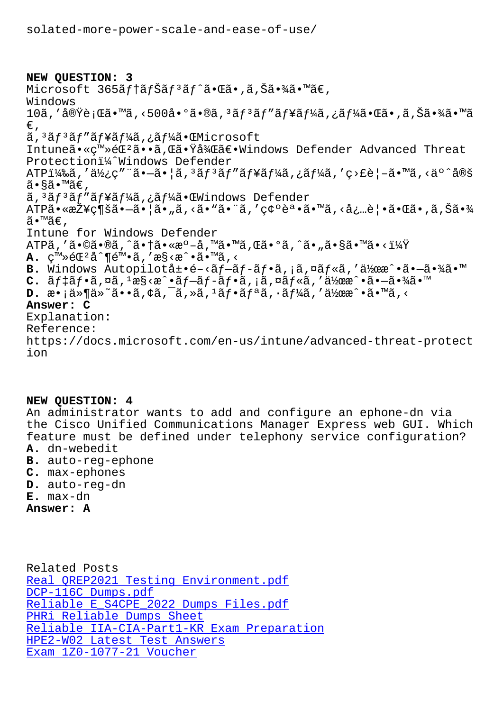## NEW QUESTION: 3

Microsoft 365ãf†ãfŠãf<sup>3</sup>ãf^㕌ã•,ã,Šã•¾ã•™ã€, Windows 10ã,′実行ã•™ã,<500å•°ã•®ã,ªãƒªãƒ″ューã,¿ãƒ¼ã•Œã•,ã,Šã•¾ã•™ã €, ã, 3ãf 3ãf "ãf¥ãf¼ã, ¿ãf¼ã• CEMicrosoft Intuneã• «c™»éC<sup>2</sup>ã••ã, C㕟å¼C〕Windows Defender Advanced Threat Protectioni<sup>1</sup>/<sub>4</sub> Nindows Defender ATP)ã,′使ç″¨ã•—㕦ã,ªãfªãf″ãf¥ãf¼ã,¿ãf¼ã,′ç>£è¦–ã•™ã,<äº^定 ã•§ã•™ã€, ã, 3ãf 3ãf "ãf¥ãf¼ã, ¿ãf¼ã•ŒWindows Defender ATP㕫接続㕗㕦ã•"ã,<ã•"㕨ã,′確誕ã•™ã,<必覕㕌ã•'ã,Šã•¾ ã•™ã€, Intune for Windows Defender ATPã, 'ã•©ã•®ã, ^㕆ã•«æº-å, ™ã•™ã, Œã•ºã, ^ã• "ã•§ã•™ã•<?  $\mathbf{A.}$   $\mathbb{C}^{\mathbb{M}}\gg$ é $\mathbb{C}^2$ å $\hat{\mathbb{d}}$   $\mathbb{C}^{\mathbb{M}}\bullet\tilde{\mathbb{d}}$ , 'æ $\S<$ æ $\hat{\mathbb{C}}\bullet\tilde{\mathbb{d}}\bullet\mathbb{M}\tilde{\mathbb{d}}$ , < B. Windows Autopilot展é-<ãf-ãf-ãf•ã, ¡ã,¤ãf«ã,'作æ^•ã•-㕾ã•™ C.  $\tilde{a}f$ ‡ã $f$ •ã,¤ã, $^1$ æ§<æ^•ã $f$ –ã $f$ -ã $f$ •ã,¡ã,¤ã $f$ «ã,′作æ^•㕖㕾ã•™ **D.** æ•;ä»¶ä»~ã••ã,¢ã,¯ã,»ã,ªãf•ãfªã,•ãf¼ã,′作æ^•ã•™ã,< Answer: C Explanation: Reference: https://docs.microsoft.com/en-us/intune/advanced-threat-protect ion

NEW QUESTION: 4

An administrator wants to add and configure an ephone-dn via the Cisco Unified Communications Manager Express web GUI. Which feature must be defined under telephony service configuration? A. dn-webedit

- B. auto-reg-ephone
- C. max-ephones
- D. auto-reg-dn
- $E.$  max-dn
- Answer: A

Related Posts Real QREP2021 Testing Environment.pdf DCP-116C Dumps.pdf Reliable E S4CPE 2022 Dumps Files.pdf PHRi Reliable Dumps Sheet Reliable IIA-CIA-Part1-KR Exam Preparation HPE2-W02 Latest Test Answers Exam 1Z0-1077-21 Voucher